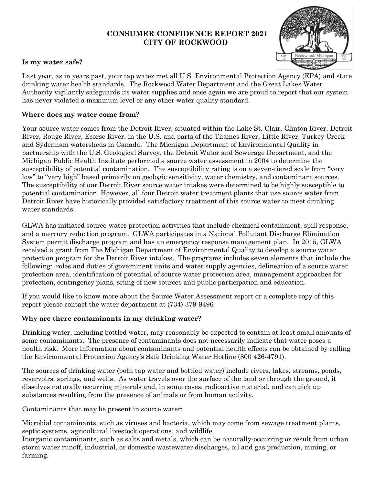#### **CONSUMER CONFIDENCE REPORT 2021 CITY OF ROCKWOOD**



#### **Is my water safe?**

Last year, as in years past, your tap water met all U.S. Environmental Protection Agency (EPA) and state drinking water health standards. The Rockwood Water Department and the Great Lakes Water Authority vigilantly safeguards its water supplies and once again we are proud to report that our system has never violated a maximum level or any other water quality standard.

#### **Where does my water come from?**

Your source water comes from the Detroit River, situated within the Lake St. Clair, Clinton River, Detroit River, Rouge River, Ecorse River, in the U.S. and parts of the Thames River, Little River, Turkey Creek and Sydenham watersheds in Canada. The Michigan Department of Environmental Quality in partnership with the U.S. Geological Survey, the Detroit Water and Sewerage Department, and the Michigan Public Health Institute performed a source water assessment in 2004 to determine the susceptibility of potential contamination. The susceptibility rating is on a seven-tiered scale from "very low" to "very high" based primarily on geologic sensitivity, water chemistry, and contaminant sources. The susceptibility of our Detroit River source water intakes were determined to be highly susceptible to potential contamination. However, all four Detroit water treatment plants that use source water from Detroit River have historically provided satisfactory treatment of this source water to meet drinking water standards.

GLWA has initiated source-water protection activities that include chemical containment, spill response, and a mercury reduction program. GLWA participates in a National Pollutant Discharge Elimination System permit discharge program and has an emergency response management plan. In 2015, GLWA received a grant from The Michigan Department of Environmental Quality to develop a source water protection program for the Detroit River intakes. The programs includes seven elements that include the following: roles and duties of government units and water supply agencies, delineation of a source water protection area, identification of potential of source water protection area, management approaches for protection, contingency plans, siting of new sources and public participation and education.

If you would like to know more about the Source Water Assessment report or a complete copy of this report please contact the water department at (734) 379-9496

#### **Why are there contaminants in my drinking water?**

Drinking water, including bottled water, may reasonably be expected to contain at least small amounts of some contaminants. The presence of contaminants does not necessarily indicate that water poses a health risk. More information about contaminants and potential health effects can be obtained by calling the Environmental Protection Agency's Safe Drinking Water Hotline (800 426-4791).

The sources of drinking water (both tap water and bottled water) include rivers, lakes, streams, ponds, reservoirs, springs, and wells. As water travels over the surface of the land or through the ground, it dissolves naturally occurring minerals and, in some cases, radioactive material, and can pick up substances resulting from the presence of animals or from human activity.

Contaminants that may be present in source water:

Microbial contaminants, such as viruses and bacteria, which may come from sewage treatment plants, septic systems, agricultural livestock operations, and wildlife.

Inorganic contaminants, such as salts and metals, which can be naturally-occurring or result from urban storm water runoff, industrial, or domestic wastewater discharges, oil and gas production, mining, or farming.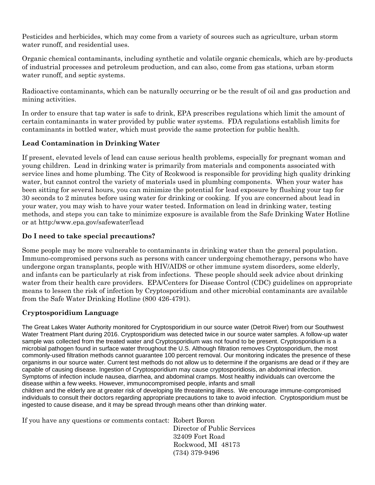Pesticides and herbicides, which may come from a variety of sources such as agriculture, urban storm water runoff, and residential uses.

Organic chemical contaminants, including synthetic and volatile organic chemicals, which are by-products of industrial processes and petroleum production, and can also, come from gas stations, urban storm water runoff, and septic systems.

Radioactive contaminants, which can be naturally occurring or be the result of oil and gas production and mining activities.

In order to ensure that tap water is safe to drink, EPA prescribes regulations which limit the amount of certain contaminants in water provided by public water systems. FDA regulations establish limits for contaminants in bottled water, which must provide the same protection for public health.

#### **Lead Contamination in Drinking Water**

If present, elevated levels of lead can cause serious health problems, especially for pregnant woman and young children. Lead in drinking water is primarily from materials and components associated with service lines and home plumbing. The City of Rcokwood is responsible for providing high quality drinking water, but cannot control the variety of materials used in plumbing components. When your water has been sitting for several hours, you can minimize the potential for lead exposure by flushing your tap for 30 seconds to 2 minutes before using water for drinking or cooking. If you are concerned about lead in your water, you may wish to have your water tested. Information on lead in drinking water, testing methods, and steps you can take to minimize exposure is available from the Safe Drinking Water Hotline or at http:/www.epa.gov/safewater/lead

#### **Do I need to take special precautions?**

Some people may be more vulnerable to contaminants in drinking water than the general population. Immuno-compromised persons such as persons with cancer undergoing chemotherapy, persons who have undergone organ transplants, people with HIV/AIDS or other immune system disorders, some elderly, and infants can be particularly at risk from infections. These people should seek advice about drinking water from their health care providers. EPA/Centers for Disease Control (CDC) guidelines on appropriate means to lessen the risk of infection by Cryptosporidium and other microbial contaminants are available from the Safe Water Drinking Hotline (800 426-4791).

#### **Cryptosporidium Language**

The Great Lakes Water Authority monitored for Cryptosporidium in our source water (Detroit River) from our Southwest Water Treatment Plant during 2016. Cryptosporidium was detected twice in our source water samples. A follow-up water sample was collected from the treated water and Cryptosporidium was not found to be present. Cryptosporidium is a microbial pathogen found in surface water throughout the U.S. Although filtration removes Cryptosporidium, the most commonly-used filtration methods cannot guarantee 100 percent removal. Our monitoring indicates the presence of these organisms in our source water. Current test methods do not allow us to determine if the organisms are dead or if they are capable of causing disease. Ingestion of Cryptosporidium may cause cryptosporidiosis, an abdominal infection. Symptoms of infection include nausea, diarrhea, and abdominal cramps. Most healthy individuals can overcome the disease within a few weeks. However, immunocompromised people, infants and small children and the elderly are at greater risk of developing life threatening illness. We encourage immune-compromised individuals to consult their doctors regarding appropriate precautions to take to avoid infection. Cryptosporidium must be ingested to cause disease, and it may be spread through means other than drinking water.

If you have any questions or comments contact: Robert Boron

 Director of Public Services 32409 Fort Road Rockwood, MI 48173 (734) 379-9496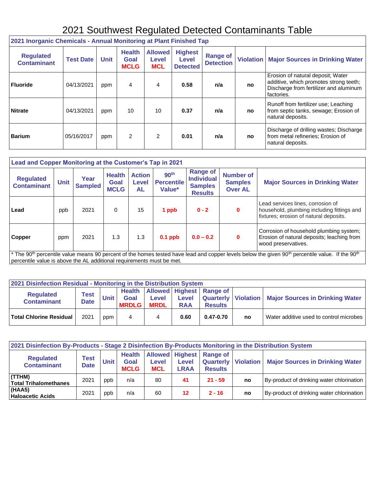## 2021 Southwest Regulated Detected Contaminants Table

 $\overline{\mathsf{I}}$ 

| 2021 Inorganic Chemicals - Annual Monitoring at Plant Finished Tap |                  |             |                                      |                                       |                                            |                                     |    |                                                                                                                                     |
|--------------------------------------------------------------------|------------------|-------------|--------------------------------------|---------------------------------------|--------------------------------------------|-------------------------------------|----|-------------------------------------------------------------------------------------------------------------------------------------|
| <b>Regulated</b><br><b>Contaminant</b>                             | <b>Test Date</b> | <b>Unit</b> | <b>Health</b><br>Goal<br><b>MCLG</b> | <b>Allowed</b><br>Level<br><b>MCL</b> | <b>Highest</b><br>Level<br><b>Detected</b> | <b>Range of</b><br><b>Detection</b> |    | <b>Violation   Major Sources in Drinking Water</b>                                                                                  |
| <b>Fluoride</b>                                                    | 04/13/2021       | ppm         | 4                                    | 4                                     | 0.58                                       | n/a                                 | no | Erosion of natural deposit; Water<br>additive, which promotes strong teeth;<br>Discharge from fertilizer and aluminum<br>factories. |
| <b>Nitrate</b>                                                     | 04/13/2021       | ppm         | 10                                   | 10                                    | 0.37                                       | n/a                                 | no | Runoff from fertilizer use; Leaching<br>from septic tanks, sewage; Erosion of<br>natural deposits.                                  |
| <b>Barium</b>                                                      | 05/16/2017       | ppm         | 2                                    | $\mathcal{P}$                         | 0.01                                       | n/a                                 | no | Discharge of drilling wastes; Discharge<br>from metal refineries; Erosion of<br>natural deposits.                                   |

| Lead and Copper Monitoring at the Customer's Tap in 2021                                                                                                                                                                                                                |             |                        |                                             |                              |                                                 |                                                                          |                                                      |                                                                                                                           |
|-------------------------------------------------------------------------------------------------------------------------------------------------------------------------------------------------------------------------------------------------------------------------|-------------|------------------------|---------------------------------------------|------------------------------|-------------------------------------------------|--------------------------------------------------------------------------|------------------------------------------------------|---------------------------------------------------------------------------------------------------------------------------|
| <b>Regulated</b><br><b>Contaminant</b>                                                                                                                                                                                                                                  | <b>Unit</b> | Year<br><b>Sampled</b> | <b>Health</b><br><b>Goal</b><br><b>MCLG</b> | <b>Action</b><br>Level<br>AL | 90 <sup>th</sup><br><b>Percentile</b><br>Value* | <b>Range of</b><br><b>Individual</b><br><b>Samples</b><br><b>Results</b> | <b>Number of</b><br><b>Samples</b><br><b>Over AL</b> | <b>Major Sources in Drinking Water</b>                                                                                    |
| Lead                                                                                                                                                                                                                                                                    | ppb         | 2021                   | 0                                           | 15                           | 1 ppb                                           | $0 - 2$                                                                  | 0                                                    | Lead services lines, corrosion of<br>household, plumbing including fittings and<br>fixtures; erosion of natural deposits. |
| <b>Copper</b>                                                                                                                                                                                                                                                           | ppm         | 2021                   | 1.3                                         | 1.3                          | $0.1$ ppb                                       | $0.0 - 0.2$                                                              | 0                                                    | Corrosion of household plumbing system;<br>Erosion of natural deposits; leaching from<br>wood preservatives.              |
| <sup>*</sup> The 90 <sup>th</sup> percentile value means 90 percent of the homes tested have lead and copper levels below the given 90 <sup>th</sup> percentile value. If the 90 <sup>th</sup><br>percentile value is above the AL additional requirements must be met. |             |                        |                                             |                              |                                                 |                                                                          |                                                      |                                                                                                                           |

| 2021 Disinfection Residual - Monitoring in the Distribution System |                            |      |                      |                      |                            |                                                         |    |                                                         |
|--------------------------------------------------------------------|----------------------------|------|----------------------|----------------------|----------------------------|---------------------------------------------------------|----|---------------------------------------------------------|
| <b>Regulated</b><br><b>Contaminant</b>                             | <b>Test</b><br><b>Date</b> | Unit | Goal<br><b>MRDLG</b> | Level<br><b>MRDL</b> | <b>Level</b><br><b>RAA</b> | Health   Allowed   Highest   Range of<br><b>Results</b> |    | Quarterly   Violation   Major Sources in Drinking Water |
| <b>Total Chlorine Residual</b>                                     | 2021                       | ppm  | 4                    |                      | 0.60                       | $0.47 - 0.70$                                           | no | Water additive used to control microbes                 |

| 2021 Disinfection By-Products - Stage 2 Disinfection By-Products Monitoring in the Distribution System |                            |             |                                      |                            |               |                                                                            |    |                                           |
|--------------------------------------------------------------------------------------------------------|----------------------------|-------------|--------------------------------------|----------------------------|---------------|----------------------------------------------------------------------------|----|-------------------------------------------|
| <b>Regulated</b><br><b>Contaminant</b>                                                                 | <b>Test</b><br><b>Date</b> | <b>Unit</b> | <b>Health</b><br>Goal<br><b>MCLG</b> | <b>Level</b><br><b>MCL</b> | Level<br>LRAA | Allowed Highest Range of<br><b>Quarterly   Violation</b><br><b>Results</b> |    | <b>Major Sources in Drinking Water</b>    |
| (TTHM)<br><b>Total Trihalomethanes</b>                                                                 | 2021                       | ppb         | n/a                                  | 80                         | 41            | $21 - 59$                                                                  | no | By-product of drinking water chlorination |
| $ $ (HAA5)<br><b>Haloacetic Acids</b>                                                                  | 2021                       | ppb         | n/a                                  | 60                         | 12            | $2 - 16$                                                                   | no | By-product of drinking water chlorination |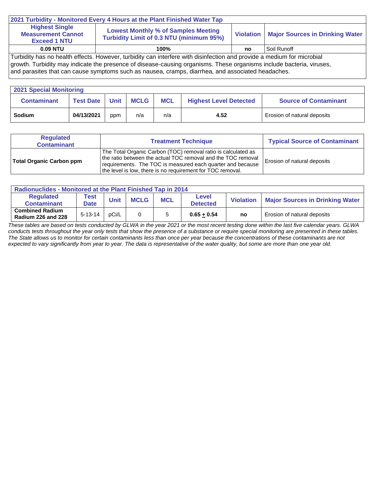| 2021 Turbidity - Monitored Every 4 Hours at the Plant Finished Water Tap                                               |                                                                                               |    |                                             |  |  |  |  |
|------------------------------------------------------------------------------------------------------------------------|-----------------------------------------------------------------------------------------------|----|---------------------------------------------|--|--|--|--|
| <b>Highest Single</b><br><b>Measurement Cannot</b><br><b>Exceed 1 NTU</b>                                              | <b>Lowest Monthly % of Samples Meeting</b><br><b>Turbidity Limit of 0.3 NTU (minimum 95%)</b> |    | Violation   Major Sources in Drinking Water |  |  |  |  |
| <b>0.09 NTU</b>                                                                                                        | 100%                                                                                          | no | Soil Runoff                                 |  |  |  |  |
| Turbidity has no health effects. However, turbidity can interfere with disinfection and provide a medium for microbial |                                                                                               |    |                                             |  |  |  |  |

growth. Turbidity may indicate the presence of disease-causing organisms. These organisms include bacteria, viruses,

and parasites that can cause symptoms such as nausea, cramps, diarrhea, and associated headaches.

| <b>2021 Special Monitoring</b> |                  |             |             |            |                               |                              |  |
|--------------------------------|------------------|-------------|-------------|------------|-------------------------------|------------------------------|--|
| <b>Contaminant</b>             | <b>Test Date</b> | <b>Unit</b> | <b>MCLG</b> | <b>MCL</b> | <b>Highest Level Detected</b> | <b>Source of Contaminant</b> |  |
| <b>Sodium</b>                  | 04/13/2021       | ppm         | n/a         | n/a        | 4.52                          | Erosion of natural deposits  |  |

| <b>Regulated</b><br><b>Contaminant</b> | <b>Treatment Technique</b>                                                                                                                                                                                                                                | <b>Typical Source of Contaminant</b> |
|----------------------------------------|-----------------------------------------------------------------------------------------------------------------------------------------------------------------------------------------------------------------------------------------------------------|--------------------------------------|
| <b>Total Organic Carbon ppm</b>        | The Total Organic Carbon (TOC) removal ratio is calculated as<br>the ratio between the actual TOC removal and the TOC removal<br>requirements. The TOC is measured each quarter and because<br>the level is low, there is no requirement for TOC removal. | Erosion of natural deposits          |

| <b>Radionuclides - Monitored at the Plant Finished Tap in 2014</b> |                            |             |             |            |                                 |                  |                                        |  |
|--------------------------------------------------------------------|----------------------------|-------------|-------------|------------|---------------------------------|------------------|----------------------------------------|--|
| Regulated<br><b>Contaminant</b>                                    | <b>Test</b><br><b>Date</b> | <b>Unit</b> | <b>MCLG</b> | <b>MCL</b> | <b>Level</b><br><b>Detected</b> | <b>Violation</b> | <b>Major Sources in Drinking Water</b> |  |
| <b>Combined Radium</b><br><b>Radium 226 and 228</b>                | $5 - 13 - 14$              | pCi/L       |             |            | $0.65 + 0.54$                   | no               | Erosion of natural deposits            |  |

*These tables are based on tests conducted by GLWA in the year 2021 or the most recent testing done within the last five calendar years. GLWA conducts tests throughout the year only tests that show the presence of a substance or require special monitoring are presented in these tables. The State allows us to monitor for certain contaminants less than once per year because the concentrations of these contaminants are not expected to vary significantly from year to year. The data is representative of the water quality, but some are more than one year old.*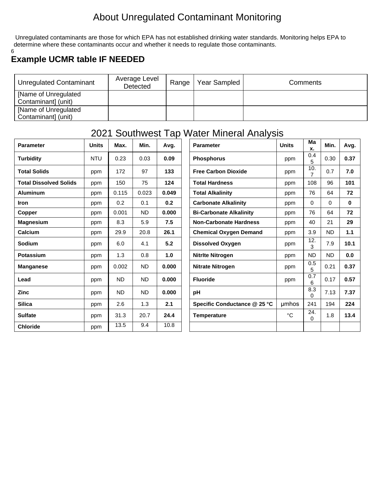## About Unregulated Contaminant Monitoring

Unregulated contaminants are those for which EPA has not established drinking water standards. Monitoring helps EPA to determine where these contaminants occur and whether it needs to regulate those contaminants. 6

## **Example UCMR table IF NEEDED**

| <b>Unregulated Contaminant</b>              | Average Level<br><b>Detected</b> | Range | Year Sampled | Comments |
|---------------------------------------------|----------------------------------|-------|--------------|----------|
| [Name of Unregulated<br>Contaminant] (unit) |                                  |       |              |          |
| [Name of Unregulated<br>Contaminant] (unit) |                                  |       |              |          |

## 2021 Southwest Tap Water Mineral Analysis

| <b>Parameter</b>              | <b>Units</b> | Max.      | Min.      | Avg.  | <b>Parameter</b>               | <b>Units</b> | Ma<br>Х.              | Min. | Avg.         |
|-------------------------------|--------------|-----------|-----------|-------|--------------------------------|--------------|-----------------------|------|--------------|
| <b>Turbidity</b>              | <b>NTU</b>   | 0.23      | 0.03      | 0.09  | <b>Phosphorus</b>              | ppm          | 0.4<br>5              | 0.30 | 0.37         |
| <b>Total Solids</b>           | ppm          | 172       | 97        | 133   | <b>Free Carbon Dioxide</b>     | ppm          | 10.<br>$\overline{7}$ | 0.7  | 7.0          |
| <b>Total Dissolved Solids</b> | ppm          | 150       | 75        | 124   | <b>Total Hardness</b>          | ppm          | 108                   | 96   | 101          |
| <b>Aluminum</b>               | ppm          | 0.115     | 0.023     | 0.049 | <b>Total Alkalinity</b>        | ppm          | 76                    | 64   | 72           |
| <b>Iron</b>                   | ppm          | 0.2       | 0.1       | 0.2   | <b>Carbonate Alkalinity</b>    | ppm          | 0                     | 0    | $\mathbf{0}$ |
| Copper                        | ppm          | 0.001     | <b>ND</b> | 0.000 | <b>Bi-Carbonate Alkalinity</b> | ppm          | 76                    | 64   | 72           |
| <b>Magnesium</b>              | ppm          | 8.3       | 5.9       | 7.5   | <b>Non-Carbonate Hardness</b>  | ppm          | 40                    | 21   | 29           |
| Calcium                       | ppm          | 29.9      | 20.8      | 26.1  | <b>Chemical Oxygen Demand</b>  | ppm          | 3.9                   | ND   | 1.1          |
| Sodium                        | ppm          | 6.0       | 4.1       | 5.2   | <b>Dissolved Oxygen</b>        | ppm          | 12.<br>3              | 7.9  | 10.1         |
| <b>Potassium</b>              | ppm          | 1.3       | 0.8       | 1.0   | <b>Nitrite Nitrogen</b>        | ppm          | <b>ND</b>             | ND   | 0.0          |
| <b>Manganese</b>              | ppm          | 0.002     | <b>ND</b> | 0.000 | <b>Nitrate Nitrogen</b>        | ppm          | 0.5<br>5              | 0.21 | 0.37         |
| Lead                          | ppm          | <b>ND</b> | <b>ND</b> | 0.000 | <b>Fluoride</b>                | ppm          | 0.7<br>6              | 0.17 | 0.57         |
| <b>Zinc</b>                   | ppm          | <b>ND</b> | <b>ND</b> | 0.000 | pH                             |              | 8.3<br>$\Omega$       | 7.13 | 7.37         |
| <b>Silica</b>                 | ppm          | 2.6       | 1.3       | 2.1   | Specific Conductance @ 25 °C   | umhos        | 241                   | 194  | 224          |
| <b>Sulfate</b>                | ppm          | 31.3      | 20.7      | 24.4  | <b>Temperature</b>             | °C           | 24.<br>0              | 1.8  | 13.4         |
| <b>Chloride</b>               | ppm          | 13.5      | 9.4       | 10.8  |                                |              |                       |      |              |

| <b>Parameter</b>               | <b>Units</b> | Ма<br>х.              | Min. | Avg. |
|--------------------------------|--------------|-----------------------|------|------|
| <b>Phosphorus</b>              | ppm          | 0.4<br>5              | 0.30 | 0.37 |
| <b>Free Carbon Dioxide</b>     | ppm          | 10.<br>$\overline{7}$ | 0.7  | 7.0  |
| <b>Total Hardness</b>          | ppm          | 108                   | 96   | 101  |
| <b>Total Alkalinity</b>        | ppm          | 76                    | 64   | 72   |
| <b>Carbonate Alkalinity</b>    | ppm          | 0                     | 0    | 0    |
| <b>Bi-Carbonate Alkalinity</b> | ppm          | 76                    | 64   | 72   |
| <b>Non-Carbonate Hardness</b>  | ppm          | 40                    | 21   | 29   |
| <b>Chemical Oxygen Demand</b>  | ppm          | 3.9                   | ND.  | 1.1  |
| <b>Dissolved Oxygen</b>        | ppm          | 12.<br>3              | 7.9  | 10.1 |
| Nitrite Nitrogen               | ppm          | <b>ND</b>             | ND.  | 0.0  |
| <b>Nitrate Nitrogen</b>        | ppm          | 0.5<br>5              | 0.21 | 0.37 |
| <b>Fluoride</b>                | ppm          | 0.7<br>6              | 0.17 | 0.57 |
| рH                             |              | 8.3<br>0              | 7.13 | 7.37 |
| Specific Conductance @ 25 °C   | umhos        | 241                   | 194  | 224  |
| <b>Temperature</b>             | °C           | 24.<br>0              | 1.8  | 13.4 |
|                                |              |                       |      |      |